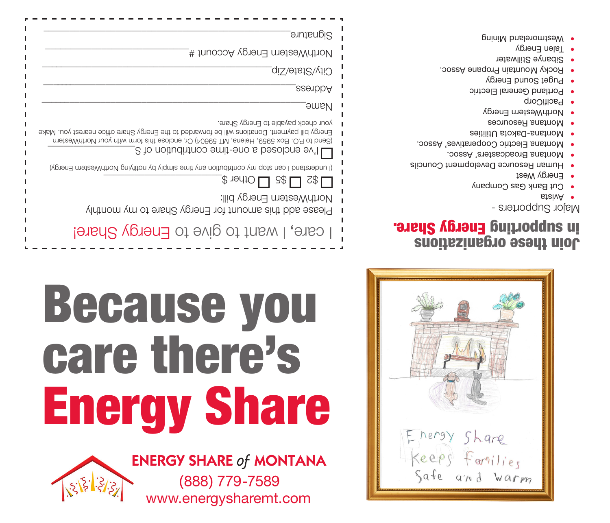

## Join these organizations in subborting Energy Share.

Major Supporters -

- Avista •
- Cut Bank Gas Company •
- Energy West
- **Human Resource Development Councils**
- Montana Broadcasters' Assoc. •
- Montana Electric Cooperatives' Assoc. •
- Montana-Dakota Utilities •
- Montana Resources •
- NorthWestern Energy
- · PacifiCorp
- Portland General Electric
- **Puget Sound Energy**
- Rocky Mountain Propane Assoc. •
- 
- Sibanye Stillwater •
- Talen Energy
- Westmoreland Mining •

| Signature <sub>.</sub>                                                                                                                                                                                                                                                |
|-----------------------------------------------------------------------------------------------------------------------------------------------------------------------------------------------------------------------------------------------------------------------|
| NorthWestern Energy Account #                                                                                                                                                                                                                                         |
| City/State/Zip_                                                                                                                                                                                                                                                       |
| <b>a</b> exempt                                                                                                                                                                                                                                                       |
| <b>Aame</b>                                                                                                                                                                                                                                                           |
| your check payable to Energy Share.<br>Energy bill payment. Donations will be forwarded to the Energy Share office nearest you. Make<br>meteoMnthou woy diversed The Seedy, Or, enclose this and with your NorthWestern<br># to noitudintnos emit-eno a bezolone ev'l |
| (in puestand I can stop my contribution any fine simply p) notiving NorthWestern Energy)<br>$\Box$ 8\$ $\Box$ 0ther \$<br>$C\$ $\Gamma$                                                                                                                               |
| NorthWestern Energy bill:<br>Please add this amount for Energy Share to my monthly                                                                                                                                                                                    |
| care, I want to give to Energy Share!                                                                                                                                                                                                                                 |

## Because you care there's Energy Share

www.energysharemt.com

(888) 779-7589